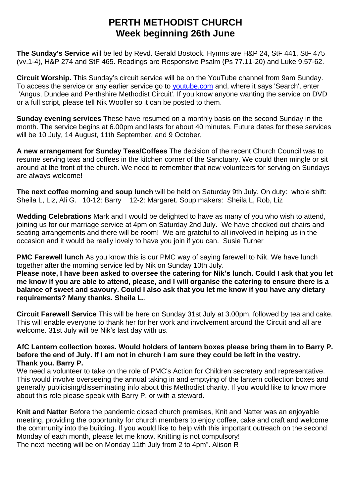## **PERTH METHODIST CHURCH Week beginning 26th June**

**The Sunday's Service** will be led by Revd. Gerald Bostock. Hymns are H&P 24, StF 441, StF 475 (vv.1-4), H&P 274 and StF 465. Readings are Responsive Psalm (Ps 77.11-20) and Luke 9.57-62.

**Circuit Worship.** This Sunday's circuit service will be on the YouTube channel from 9am Sunday. To access the service or any earlier service go to **[youtube.com](http://youtube.com/)** and, where it says 'Search', enter 'Angus, Dundee and Perthshire Methodist Circuit'. If you know anyone wanting the service on DVD or a full script, please tell Nik Wooller so it can be posted to them.

**Sunday evening services** These have resumed on a monthly basis on the second Sunday in the month. The service begins at 6.00pm and lasts for about 40 minutes. Future dates for these services will be 10 July, 14 August, 11th September, and 9 October,

**A new arrangement for Sunday Teas/Coffees** The decision of the recent Church Council was to resume serving teas and coffees in the kitchen corner of the Sanctuary. We could then mingle or sit around at the front of the church. We need to remember that new volunteers for serving on Sundays are always welcome!

**The next coffee morning and soup lunch** will be held on Saturday 9th July. On duty: whole shift: Sheila L, Liz, Ali G. 10-12: Barry 12-2: Margaret. Soup makers: Sheila L, Rob, Liz

**Wedding Celebrations** Mark and I would be delighted to have as many of you who wish to attend, joining us for our marriage service at 4pm on Saturday 2nd July. We have checked out chairs and seating arrangements and there will be room! We are grateful to all involved in helping us in the occasion and it would be really lovely to have you join if you can. Susie Turner

**PMC Farewell lunch** As you know this is our PMC way of saying farewell to Nik. We have lunch together after the morning service led by Nik on Sunday 10th July.

Please note, I have been asked to oversee the catering for Nik's lunch. Could I ask that you let me know if you are able to attend, please, and I will organise the catering to ensure there is a **balance of sweet and savoury. Could I also ask that you let me know if you have any dietary requirements? Many thanks. Sheila L.**.

**Circuit Farewell Service** This will be here on Sunday 31st July at 3.00pm, followed by tea and cake. This will enable everyone to thank her for her work and involvement around the Circuit and all are welcome. 31st July will be Nik's last day with us.

## **AfC Lantern collection boxes. Would holders of lantern boxes please bring them in to Barry P.** before the end of July. If I am not in church I am sure they could be left in the vestry. **Thank you. Barry P.**

We need a volunteer to take on the role of PMC's Action for Children secretary and representative. This would involve overseeing the annual taking in and emptying of the lantern collection boxes and generally publicising/disseminating info about this Methodist charity. If you would like to know more about this role please speak with Barry P. or with a steward.

**Knit and Natter** Before the pandemic closed church premises, Knit and Natter was an enjoyable meeting, providing the opportunity for church members to enjoy coffee, cake and craft and welcome the community into the building. If you would like to help with this important outreach on the second Monday of each month, please let me know. Knitting is not compulsory! The next meeting will be on Monday 11th July from 2 to 4pm". Alison R